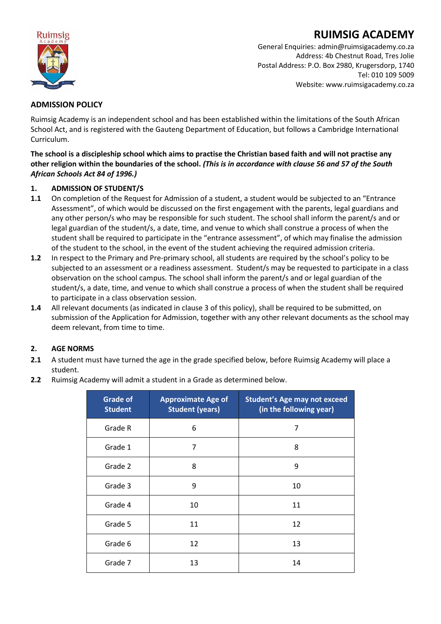

# **RUIMSIG ACADEMY**

General Enquiries: admin@ruimsigacademy.co.za Address: 4b Chestnut Road, Tres Jolie Postal Address: P.O. Box 2980, Krugersdorp, 1740 Tel: 010 109 5009 Website: www.ruimsigacademy.co.za

# **ADMISSION POLICY**

Ruimsig Academy is an independent school and has been established within the limitations of the South African School Act, and is registered with the Gauteng Department of Education, but follows a Cambridge International Curriculum.

**The school is a discipleship school which aims to practise the Christian based faith and will not practise any other religion within the boundaries of the school.** *(This is in accordance with clause 56 and 57 of the South African Schools Act 84 of 1996.)*

### **1. ADMISSION OF STUDENT/S**

- **1.1** On completion of the Request for Admission of a student, a student would be subjected to an "Entrance Assessment", of which would be discussed on the first engagement with the parents, legal guardians and any other person/s who may be responsible for such student. The school shall inform the parent/s and or legal guardian of the student/s, a date, time, and venue to which shall construe a process of when the student shall be required to participate in the "entrance assessment", of which may finalise the admission of the student to the school, in the event of the student achieving the required admission criteria.
- **1.2** In respect to the Primary and Pre-primary school, all students are required by the school's policy to be subjected to an assessment or a readiness assessment. Student/s may be requested to participate in a class observation on the school campus. The school shall inform the parent/s and or legal guardian of the student/s, a date, time, and venue to which shall construe a process of when the student shall be required to participate in a class observation session.
- **1.4** All relevant documents (as indicated in clause 3 of this policy), shall be required to be submitted, on submission of the Application for Admission, together with any other relevant documents as the school may deem relevant, from time to time.

## **2. AGE NORMS**

- **2.1** A student must have turned the age in the grade specified below, before Ruimsig Academy will place a student.
- **2.2** Ruimsig Academy will admit a student in a Grade as determined below.

| <b>Grade of</b><br><b>Student</b> | <b>Approximate Age of</b><br><b>Student (years)</b> | <b>Student's Age may not exceed</b><br>(in the following year) |
|-----------------------------------|-----------------------------------------------------|----------------------------------------------------------------|
| Grade R                           | 6                                                   | 7                                                              |
| Grade 1                           | 7                                                   | 8                                                              |
| Grade 2                           | 8                                                   | 9                                                              |
| Grade 3                           | 9                                                   | 10                                                             |
| Grade 4                           | 10                                                  | 11                                                             |
| Grade 5                           | 11                                                  | 12                                                             |
| Grade 6                           | 12                                                  | 13                                                             |
| Grade 7                           | 13                                                  | 14                                                             |